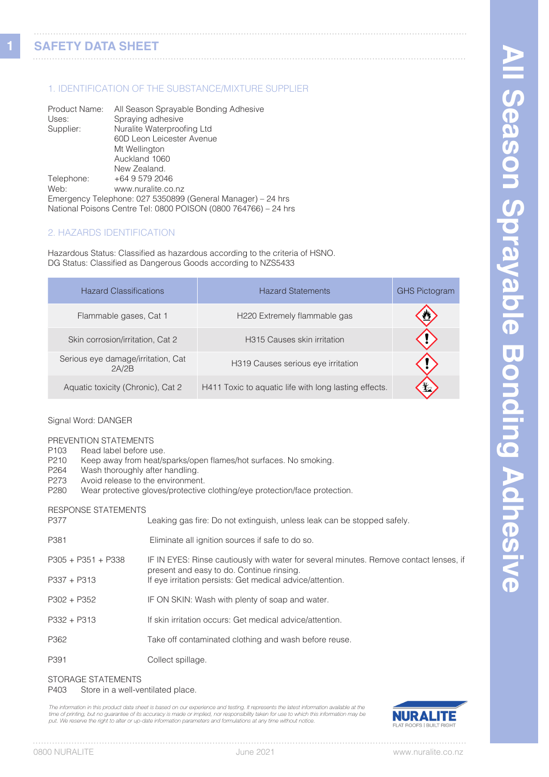**1**

## 1. IDENTIFICATION OF THE SUBSTANCE/MIXTURE SUPPLIER

| Product Name: | All Season Sprayable Bonding Adhesive                           |
|---------------|-----------------------------------------------------------------|
| Uses:         | Spraying adhesive                                               |
| Supplier:     | Nuralite Waterproofing Ltd                                      |
|               | 60D Leon Leicester Avenue                                       |
|               | Mt Wellington                                                   |
|               | Auckland 1060                                                   |
|               | New Zealand.                                                    |
| Telephone:    | +64 9 579 2046                                                  |
| Web:          | www.nuralite.co.nz                                              |
|               | Emergency Telephone: 027 5350899 (General Manager) – 24 hrs     |
|               | National Poisons Centre Tel: 0800 POISON (0800 764766) - 24 hrs |

### 2. HAZARDS IDENTIFICATION

Hazardous Status: Classified as hazardous according to the criteria of HSNO. DG Status: Classified as Dangerous Goods according to NZS5433

| <b>Hazard Classifications</b>               | <b>Hazard Statements</b>                              | <b>GHS Pictogram</b> |
|---------------------------------------------|-------------------------------------------------------|----------------------|
| Flammable gases, Cat 1                      | H220 Extremely flammable gas                          |                      |
| Skin corrosion/irritation, Cat 2            | H315 Causes skin irritation                           |                      |
| Serious eye damage/irritation, Cat<br>2A/2B | H319 Causes serious eye irritation                    |                      |
| Aquatic toxicity (Chronic), Cat 2           | H411 Toxic to aquatic life with long lasting effects. |                      |

#### Signal Word: DANGER

PREVENTION STATEMENTS

- P103 Read label before use.<br>P210 Keep away from heat/s
- P210 Keep away from heat/sparks/open flames/hot surfaces. No smoking.<br>P264 Wash thoroughly after handling.
- P264 Wash thoroughly after handling.<br>P273 Avoid release to the environmer
- P273 Avoid release to the environment.<br>P280 Wear protective gloves/protective
- Wear protective gloves/protective clothing/eye protection/face protection.

#### RESPONSE STATEMENTS

| P377                 | Leaking gas fire: Do not extinguish, unless leak can be stopped safely.                                                             |
|----------------------|-------------------------------------------------------------------------------------------------------------------------------------|
| P381                 | Eliminate all ignition sources if safe to do so.                                                                                    |
| $P305 + P351 + P338$ | IF IN EYES: Rinse cautiously with water for several minutes. Remove contact lenses, if<br>present and easy to do. Continue rinsing. |
| $P337 + P313$        | If eye irritation persists: Get medical advice/attention.                                                                           |
| $P302 + P352$        | IF ON SKIN: Wash with plenty of soap and water.                                                                                     |
| $P332 + P313$        | If skin irritation occurs: Get medical advice/attention.                                                                            |
| P362                 | Take off contaminated clothing and wash before reuse.                                                                               |
| P391                 | Collect spillage.                                                                                                                   |

#### STORAGE STATEMENTS

P403 Store in a well-ventilated place.

The information in this product data sheet is based on our experience and testing. It represents the latest information available at the time of printing, but no guarantee of its accuracy is made or implied, nor responsibility taken for use to which this information may be<br>put. We reserve the right to alter or up-date information parameters and formulations

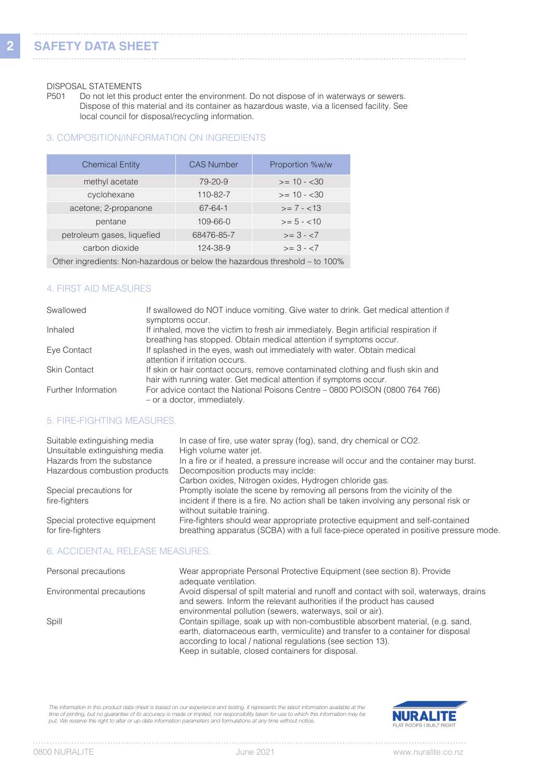# DISPOSAL STATEMENTS<br>P501 Do not let this pro

Do not let this product enter the environment. Do not dispose of in waterways or sewers. Dispose of this material and its container as hazardous waste, via a licensed facility. See local council for disposal/recycling information.

### 3. COMPOSITION/INFORMATION ON INGREDIENTS

| <b>Chemical Entity</b>                                                      | <b>CAS Number</b> | Proportion %w/w |  |
|-----------------------------------------------------------------------------|-------------------|-----------------|--|
| methyl acetate                                                              | $79 - 20 - 9$     | $>= 10 - 30$    |  |
| cyclohexane                                                                 | 110-82-7          | $>= 10 - 30$    |  |
| acetone; 2-propanone                                                        | $67 - 64 - 1$     | $>= 7 - 13$     |  |
| pentane                                                                     | $109 - 66 - 0$    | $>= 5 - 10$     |  |
| petroleum gases, liquefied                                                  | 68476-85-7        | $>= 3 - 57$     |  |
| carbon dioxide                                                              | 124-38-9          | $>= 3 - 5$      |  |
| Other ingredients: Non-hazardous or below the hazardous threshold – to 100% |                   |                 |  |

### 4. FIRST AID MEASURES

| Swallowed           | If swallowed do NOT induce vomiting. Give water to drink. Get medical attention if<br>symptoms occur.                                                       |
|---------------------|-------------------------------------------------------------------------------------------------------------------------------------------------------------|
| Inhaled             | If inhaled, move the victim to fresh air immediately. Begin artificial respiration if<br>breathing has stopped. Obtain medical attention if symptoms occur. |
| Eye Contact         | If splashed in the eyes, wash out immediately with water. Obtain medical<br>attention if irritation occurs.                                                 |
| <b>Skin Contact</b> | If skin or hair contact occurs, remove contaminated clothing and flush skin and<br>hair with running water. Get medical attention if symptoms occur.        |
| Further Information | For advice contact the National Poisons Centre – 0800 POISON (0800 764 766)<br>- or a doctor, immediately.                                                  |

## 5. FIRE-FIGHTING MEASURES.

| Suitable extinguishing media<br>Unsuitable extinguishing media<br>Hazards from the substance<br>Hazardous combustion products | In case of fire, use water spray (fog), sand, dry chemical or CO2.<br>High volume water jet.<br>In a fire or if heated, a pressure increase will occur and the container may burst.<br>Decomposition products may inclde:<br>Carbon oxides, Nitrogen oxides, Hydrogen chloride gas. |
|-------------------------------------------------------------------------------------------------------------------------------|-------------------------------------------------------------------------------------------------------------------------------------------------------------------------------------------------------------------------------------------------------------------------------------|
| Special precautions for<br>fire-fighters                                                                                      | Promptly isolate the scene by removing all persons from the vicinity of the<br>incident if there is a fire. No action shall be taken involving any personal risk or<br>without suitable training.                                                                                   |
| Special protective equipment<br>for fire-fighters                                                                             | Fire-fighters should wear appropriate protective equipment and self-contained<br>breathing apparatus (SCBA) with a full face-piece operated in positive pressure mode.                                                                                                              |
| 6. ACCIDENTAL RELEASE MEASURES.                                                                                               |                                                                                                                                                                                                                                                                                     |

| Personal precautions      | Wear appropriate Personal Protective Equipment (see section 8). Provide<br>adequate ventilation.                                                                                                                                                                                       |
|---------------------------|----------------------------------------------------------------------------------------------------------------------------------------------------------------------------------------------------------------------------------------------------------------------------------------|
| Environmental precautions | Avoid dispersal of spilt material and runoff and contact with soil, waterways, drains<br>and sewers. Inform the relevant authorities if the product has caused<br>environmental pollution (sewers, waterways, soil or air).                                                            |
| Spill                     | Contain spillage, soak up with non-combustible absorbent material, (e.g. sand,<br>earth, diatomaceous earth, vermiculite) and transfer to a container for disposal<br>according to local / national regulations (see section 13).<br>Keep in suitable, closed containers for disposal. |

The information in this product data sheet is based on our experience and testing. It represents the latest information available at the<br>time of printing, but no guarantee of its accuracy is made or implied, nor responsibi

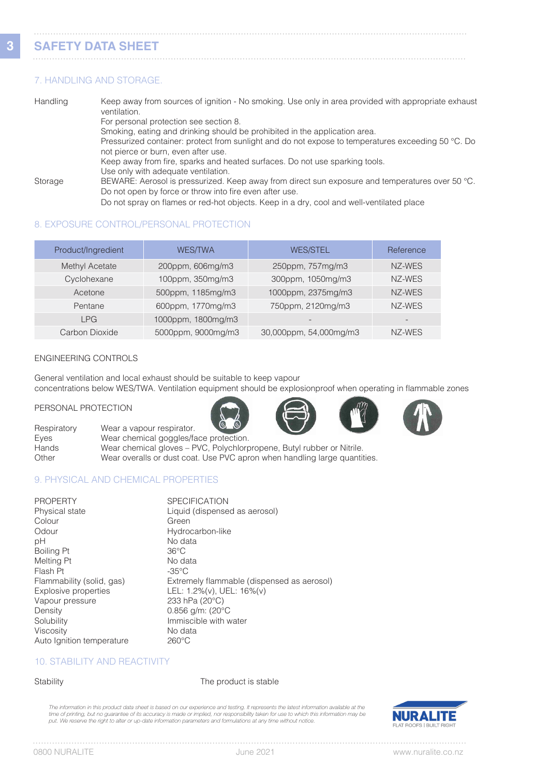# **SAFETY DATA SHEET**

#### 7. HANDLING AND STORAGE.

| Handling | Keep away from sources of ignition - No smoking. Use only in area provided with appropriate exhaust<br>ventilation. |
|----------|---------------------------------------------------------------------------------------------------------------------|
|          | For personal protection see section 8.                                                                              |
|          | Smoking, eating and drinking should be prohibited in the application area.                                          |
|          | Pressurized container: protect from sunlight and do not expose to temperatures exceeding 50 °C. Do                  |
|          | not pierce or burn, even after use.                                                                                 |
|          | Keep away from fire, sparks and heated surfaces. Do not use sparking tools.                                         |
|          | Use only with adequate ventilation.                                                                                 |
| Storage  | BEWARE: Aerosol is pressurized. Keep away from direct sun exposure and temperatures over 50 °C.                     |
|          | Do not open by force or throw into fire even after use.                                                             |
|          | Do not spray on flames or red-hot objects. Keep in a dry, cool and well-ventilated place                            |

### 8. EXPOSURE CONTROL/PERSONAL PROTECTION

| Product/Ingredient | <b>WES/TWA</b>     | <b>WES/STEL</b>        | Reference |
|--------------------|--------------------|------------------------|-----------|
| Methyl Acetate     | 200ppm, 606mg/m3   | 250ppm, 757mg/m3       | NZ-WES    |
| Cyclohexane        | 100ppm, 350mg/m3   | 300ppm, 1050mg/m3      | NZ-WES    |
| Acetone            | 500ppm, 1185mg/m3  | 1000ppm, 2375mg/m3     | NZ-WES    |
| Pentane            | 600ppm, 1770mg/m3  | 750ppm, 2120mg/m3      | NZ-WES    |
| <b>LPG</b>         | 1000ppm, 1800mg/m3 |                        |           |
| Carbon Dioxide     | 5000ppm, 9000mg/m3 | 30,000ppm, 54,000mg/m3 | NZ-WES    |

#### ENGINEERING CONTROLS

General ventilation and local exhaust should be suitable to keep vapour concentrations below WES/TWA. Ventilation equipment should be explosionproof when operating in flammable zones

#### PERSONAL PROTECTION







Respiratory Wear a vapour respirator. Eyes Wear chemical goggles/face protection.<br>
Hands Wear chemical gloves – PVC, Polychlorp Wear chemical gloves – PVC, Polychlorpropene, Butyl rubber or Nitrile. Other Wear overalls or dust coat. Use PVC apron when handling large quantities.

## 9. PHYSICAL AND CHEMICAL PROPERTIES

| <b>PROPERTY</b>           | <b>SPECIFICATION</b>                       |
|---------------------------|--------------------------------------------|
| Physical state            | Liquid (dispensed as aerosol)              |
| Colour                    | Green                                      |
| Odour                     | Hydrocarbon-like                           |
| рH                        | No data                                    |
| <b>Boiling Pt</b>         | $36^{\circ}$ C                             |
| Melting Pt                | No data                                    |
| Flash Pt                  | -35°C                                      |
| Flammability (solid, gas) | Extremely flammable (dispensed as aerosol) |
| Explosive properties      | LEL: 1.2%(v), UEL: 16%(v)                  |
| Vapour pressure           | 233 hPa (20°C)                             |
| Density                   | $0.856$ g/m: (20 $^{\circ}$ C              |
| Solubility                | Immiscible with water                      |
| Viscosity                 | No data                                    |
| Auto Ignition temperature | $260^{\circ}$ C                            |

#### 10. STABILITY AND REACTIVITY

Stability Stability **The product is stable** 

The information in this product data sheet is based on our experience and testing. It represents the latest information available at the time of printing, but no guarantee of its accuracy is made or implied, nor responsibility taken for use to which this information may be<br>put. We reserve the right to alter or up-date information parameters and formulations



 $1.1.1.1$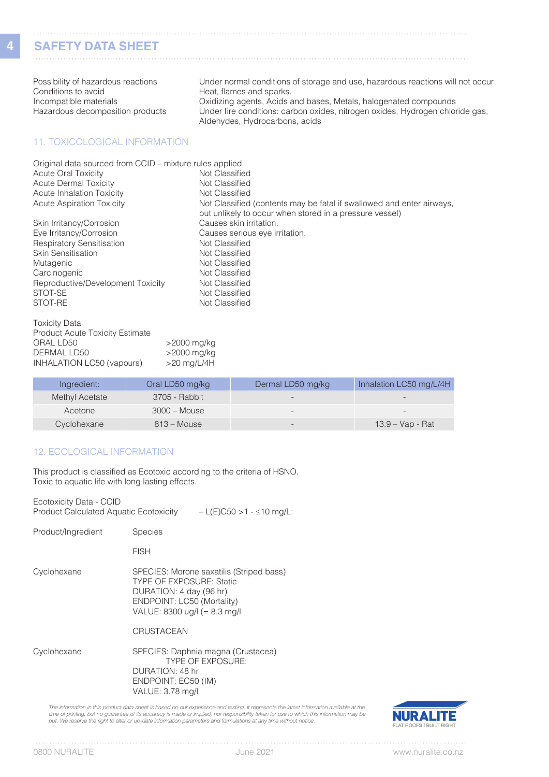# **SAFETY DATA SHEET**

Possibility of hazardous reactions Under normal conditions of storage and use, hazardous reactions will not occur.<br>Conditions to avoid Conditions to avoid Conditions to avoid<br>
Incompatible materials<br>
Conditional agents, Acids and Sparks. Oxidizing agents, Acids and bases, Metals, halogenated compounds Hazardous decomposition products Under fire conditions: carbon oxides, nitrogen oxides, Hydrogen chloride gas, Aldehydes, Hydrocarbons, acids

#### 11. TOXICOLOGICAL INFORMATION

| Original data sourced from CCID – mixture rules applied |                                                                       |
|---------------------------------------------------------|-----------------------------------------------------------------------|
| <b>Acute Oral Toxicity</b>                              | Not Classified                                                        |
| <b>Acute Dermal Toxicity</b>                            | Not Classified                                                        |
| Acute Inhalation Toxicity                               | Not Classified                                                        |
| <b>Acute Aspiration Toxicity</b>                        | Not Classified (contents may be fatal if swallowed and enter airways, |
|                                                         | but unlikely to occur when stored in a pressure vessel)               |
| Skin Irritancy/Corrosion                                | Causes skin irritation.                                               |
| Eye Irritancy/Corrosion                                 | Causes serious eye irritation.                                        |
| <b>Respiratory Sensitisation</b>                        | Not Classified                                                        |
| <b>Skin Sensitisation</b>                               | Not Classified                                                        |
| Mutagenic                                               | Not Classified                                                        |
| Carcinogenic                                            | Not Classified                                                        |
| Reproductive/Development Toxicity                       | Not Classified                                                        |
| STOT-SE                                                 | Not Classified                                                        |
| STOT-RE                                                 | Not Classified                                                        |

| <b>Toxicity Data</b>                   |               |
|----------------------------------------|---------------|
| <b>Product Acute Toxicity Estimate</b> |               |
| ORAL LD50                              | >2000 mg/kg   |
| DERMAL LD50                            | >2000 mg/kg   |
| INHALATION LC50 (vapours)              | $>20$ mg/L/4H |
|                                        |               |

| Ingredient:           | Oral LD50 mg/kg | Dermal LD50 mg/kg        | Inhalation LC50 mg/L/4H |
|-----------------------|-----------------|--------------------------|-------------------------|
| <b>Methyl Acetate</b> | 3705 - Rabbit   |                          |                         |
| Acetone               | 3000 – Mouse    |                          |                         |
| Cyclohexane           | $813 - Mouse$   | $\overline{\phantom{0}}$ | $13.9 - Vap - Rat$      |

#### 12. ECOLOGICAL INFORMATION

This product is classified as Ecotoxic according to the criteria of HSNO. Toxic to aquatic life with long lasting effects.

| Ecotoxicity Data - CCID<br>Product Calculated Aquatic Ecotoxicity | $-L(E)C50 > 1 - \leq 10$ mg/L:                                                                                                                                        |
|-------------------------------------------------------------------|-----------------------------------------------------------------------------------------------------------------------------------------------------------------------|
| Product/Ingredient                                                | <b>Species</b>                                                                                                                                                        |
|                                                                   | <b>FISH</b>                                                                                                                                                           |
| Cyclohexane                                                       | SPECIES: Morone saxatilis (Striped bass)<br><b>TYPE OF EXPOSURE: Static</b><br>DURATION: 4 day (96 hr)<br>ENDPOINT: LC50 (Mortality)<br>VALUE: 8300 ug/l (= 8.3 mg/l) |
|                                                                   | <b>CRUSTACEAN</b>                                                                                                                                                     |
| Cyclohexane                                                       | SPECIES: Daphnia magna (Crustacea)<br><b>TYPE OF EXPOSURE:</b><br>DURATION: 48 hr<br>ENDPOINT: EC50 (IM)<br>VALUE: 3.78 mg/l                                          |
|                                                                   |                                                                                                                                                                       |

*The information in this product data sheet is based on our experience and testing. It represents the latest information available at the*  time of printing, but no guarantee of its accuracy is made or implied, nor responsibility taken for use to which this information may be<br>put. We reserve the right to alter or up-date information parameters and formulations

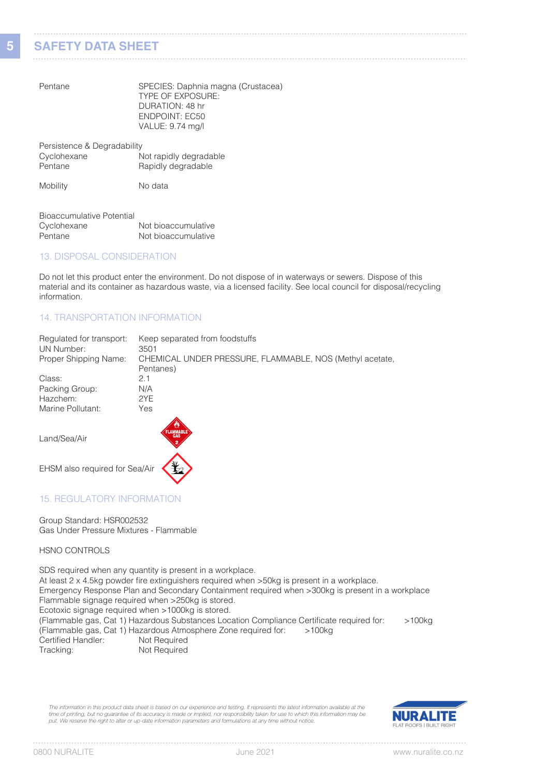# **SAFETY DATA SHEET**

Pentane SPECIES: Daphnia magna (Crustacea) TYPE OF EXPOSURE: DURATION: 48 hr ENDPOINT: EC50 VALUE: 9.74 mg/l

| Persistence & Degradability |                        |
|-----------------------------|------------------------|
| Cyclohexane                 | Not rapidly degradable |
| Pentane                     | Rapidly degradable     |
|                             |                        |

Mobility No data

| Bioaccumulative Potential |                     |
|---------------------------|---------------------|
| Cyclohexane               | Not bioaccumulative |
| Pentane                   | Not bioaccumulative |

#### 13. DISPOSAL CONSIDERATION

Do not let this product enter the environment. Do not dispose of in waterways or sewers. Dispose of this material and its container as hazardous waste, via a licensed facility. See local council for disposal/recycling information.

#### 14. TRANSPORTATION INFORMATION

| Regulated for transport:<br>UN Number: | Keep separated from foodstuffs<br>3501                   |
|----------------------------------------|----------------------------------------------------------|
| Proper Shipping Name:                  | CHEMICAL UNDER PRESSURE, FLAMMABLE, NOS (Methyl acetate, |
|                                        | Pentanes)                                                |
| Class:                                 | 2.1                                                      |
| Packing Group:                         | N/A                                                      |
| Hazchem:                               | 2YF                                                      |
| Marine Pollutant:                      | Yes                                                      |
|                                        |                                                          |

Land/Sea/Air



EHSM also required for Sea/Air

## 15. REGULATORY INFORMATION

Group Standard: HSR002532 Gas Under Pressure Mixtures - Flammable

#### HSNO CONTROLS

SDS required when any quantity is present in a workplace. At least 2 x 4.5kg powder fire extinguishers required when >50kg is present in a workplace. Emergency Response Plan and Secondary Containment required when >300kg is present in a workplace Flammable signage required when >250kg is stored. Ecotoxic signage required when >1000kg is stored. (Flammable gas, Cat 1) Hazardous Substances Location Compliance Certificate required for: >100kg (Flammable gas, Cat 1) Hazardous Atmosphere Zone required for: >100kg Certified Handler:<br>Tracking: Not Required

*The information in this product data sheet is based on our experience and testing. It represents the latest information available at the time of printing, but no guarantee of its accuracy is made or implied, nor responsibility taken for use to which this information may be put. We reserve the right to alter or up-date information parameters and formulations at any time without notice.*